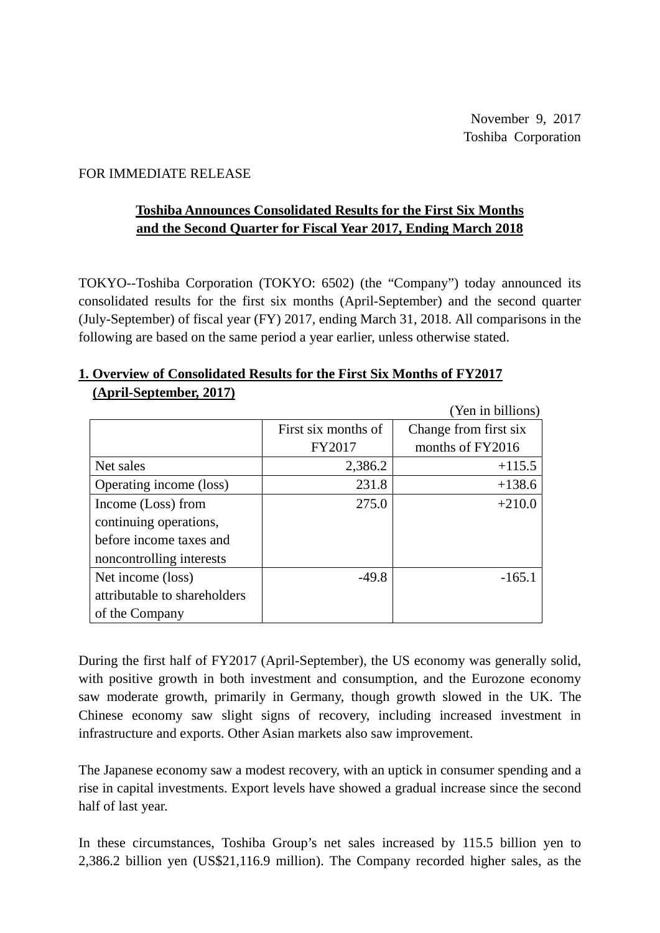## FOR IMMEDIATE RELEASE

# **Toshiba Announces Consolidated Results for the First Six Months and the Second Quarter for Fiscal Year 2017, Ending March 2018**

TOKYO--Toshiba Corporation (TOKYO: 6502) (the "Company") today announced its consolidated results for the first six months (April-September) and the second quarter (July-September) of fiscal year (FY) 2017, ending March 31, 2018. All comparisons in the following are based on the same period a year earlier, unless otherwise stated.

|                              |                     | (Yen in billions)     |
|------------------------------|---------------------|-----------------------|
|                              | First six months of | Change from first six |
|                              | FY2017              | months of FY2016      |
| Net sales                    | 2,386.2             | $+115.5$              |
| Operating income (loss)      | 231.8               | $+138.6$              |
| Income (Loss) from           | 275.0               | $+210.0$              |
| continuing operations,       |                     |                       |
| before income taxes and      |                     |                       |
| noncontrolling interests     |                     |                       |
| Net income (loss)            | $-49.8$             | $-165.1$              |
| attributable to shareholders |                     |                       |
| of the Company               |                     |                       |

## **1. Overview of Consolidated Results for the First Six Months of FY2017 (April-September, 2017)**

During the first half of FY2017 (April-September), the US economy was generally solid, with positive growth in both investment and consumption, and the Eurozone economy saw moderate growth, primarily in Germany, though growth slowed in the UK. The Chinese economy saw slight signs of recovery, including increased investment in infrastructure and exports. Other Asian markets also saw improvement.

The Japanese economy saw a modest recovery, with an uptick in consumer spending and a rise in capital investments. Export levels have showed a gradual increase since the second half of last year.

In these circumstances, Toshiba Group's net sales increased by 115.5 billion yen to 2,386.2 billion yen (US\$21,116.9 million). The Company recorded higher sales, as the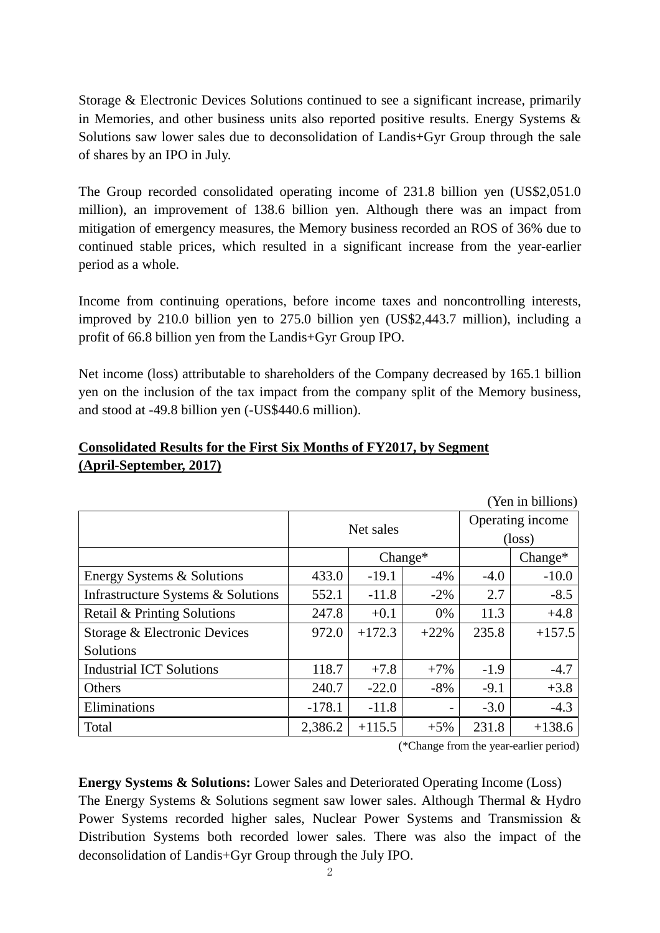Storage & Electronic Devices Solutions continued to see a significant increase, primarily in Memories, and other business units also reported positive results. Energy Systems & Solutions saw lower sales due to deconsolidation of Landis+Gyr Group through the sale of shares by an IPO in July.

The Group recorded consolidated operating income of 231.8 billion yen (US\$2,051.0 million), an improvement of 138.6 billion yen. Although there was an impact from mitigation of emergency measures, the Memory business recorded an ROS of 36% due to continued stable prices, which resulted in a significant increase from the year-earlier period as a whole.

Income from continuing operations, before income taxes and noncontrolling interests, improved by 210.0 billion yen to 275.0 billion yen (US\$2,443.7 million), including a profit of 66.8 billion yen from the Landis+Gyr Group IPO.

Net income (loss) attributable to shareholders of the Company decreased by 165.1 billion yen on the inclusion of the tax impact from the company split of the Memory business, and stood at -49.8 billion yen (-US\$440.6 million).

# (Yen in billions) Net sales **Operating income** (loss) Change\* Change\* Energy Systems & Solutions  $\begin{vmatrix} 433.0 & -19.1 & -4\% & -4.0 & -10.0 \end{vmatrix}$ Infrastructure Systems & Solutions  $\begin{vmatrix} 552.1 & -11.8 & -2\% & 2.7 & -8.5 \end{vmatrix}$ Retail & Printing Solutions  $247.8$  +0.1 0% 11.3 +4.8 Storage & Electronic Devices **Solutions**  $972.0$  +172.3 +22% 235.8 +157.5 Industrial ICT Solutions  $118.7 - 7.8 - 7\% - 1.9 - 4.7$ Others 240.7  $-22.0$   $-8\%$   $-9.1$   $+3.8$ Eliminations 1 -178.1  $-11.8$  -11.8  $-1.3$ Total  $\begin{array}{|c|c|c|c|c|c|c|c|} \hline \end{array}$  2,386.2 +115.5 +5% 231.8 +138.6

## **Consolidated Results for the First Six Months of FY2017, by Segment (April-September, 2017)**

(\*Change from the year-earlier period)

**Energy Systems & Solutions:** Lower Sales and Deteriorated Operating Income (Loss) The Energy Systems & Solutions segment saw lower sales. Although Thermal & Hydro Power Systems recorded higher sales, Nuclear Power Systems and Transmission & Distribution Systems both recorded lower sales. There was also the impact of the deconsolidation of Landis+Gyr Group through the July IPO.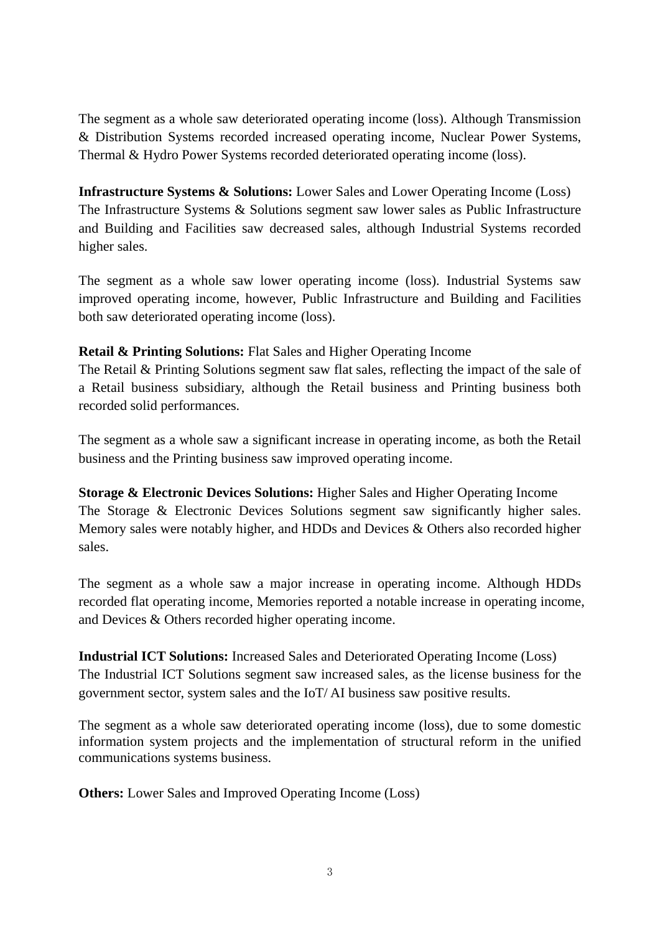The segment as a whole saw deteriorated operating income (loss). Although Transmission & Distribution Systems recorded increased operating income, Nuclear Power Systems, Thermal & Hydro Power Systems recorded deteriorated operating income (loss).

**Infrastructure Systems & Solutions:** Lower Sales and Lower Operating Income (Loss) The Infrastructure Systems & Solutions segment saw lower sales as Public Infrastructure and Building and Facilities saw decreased sales, although Industrial Systems recorded higher sales.

The segment as a whole saw lower operating income (loss). Industrial Systems saw improved operating income, however, Public Infrastructure and Building and Facilities both saw deteriorated operating income (loss).

## **Retail & Printing Solutions:** Flat Sales and Higher Operating Income

The Retail & Printing Solutions segment saw flat sales, reflecting the impact of the sale of a Retail business subsidiary, although the Retail business and Printing business both recorded solid performances.

The segment as a whole saw a significant increase in operating income, as both the Retail business and the Printing business saw improved operating income.

**Storage & Electronic Devices Solutions:** Higher Sales and Higher Operating Income The Storage & Electronic Devices Solutions segment saw significantly higher sales. Memory sales were notably higher, and HDDs and Devices & Others also recorded higher sales.

The segment as a whole saw a major increase in operating income. Although HDDs recorded flat operating income, Memories reported a notable increase in operating income, and Devices & Others recorded higher operating income.

**Industrial ICT Solutions:** Increased Sales and Deteriorated Operating Income (Loss) The Industrial ICT Solutions segment saw increased sales, as the license business for the government sector, system sales and the IoT/ AI business saw positive results.

The segment as a whole saw deteriorated operating income (loss), due to some domestic information system projects and the implementation of structural reform in the unified communications systems business.

**Others:** Lower Sales and Improved Operating Income (Loss)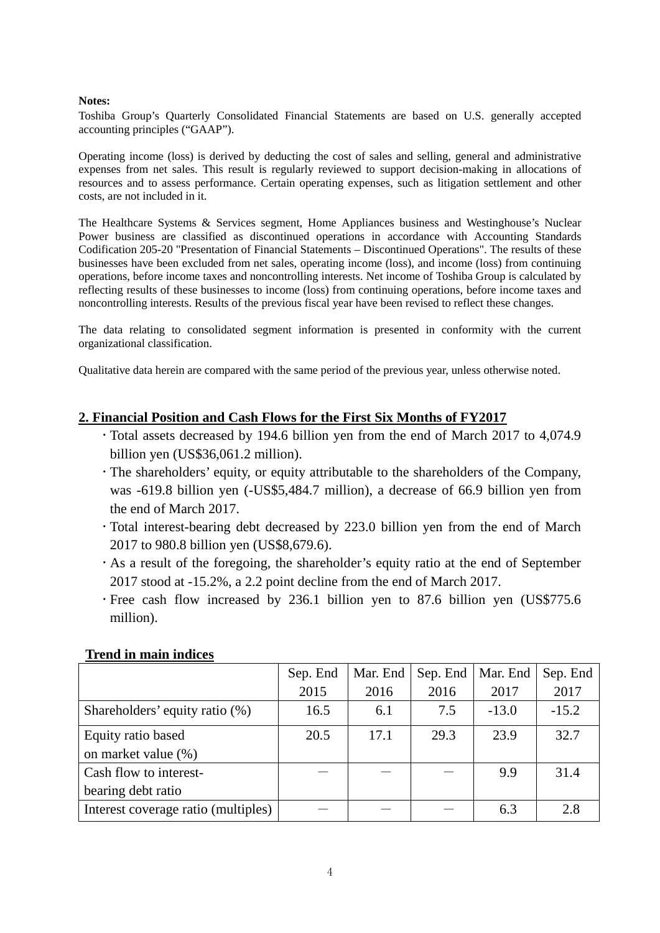#### **Notes:**

Toshiba Group's Quarterly Consolidated Financial Statements are based on U.S. generally accepted accounting principles ("GAAP").

Operating income (loss) is derived by deducting the cost of sales and selling, general and administrative expenses from net sales. This result is regularly reviewed to support decision-making in allocations of resources and to assess performance. Certain operating expenses, such as litigation settlement and other costs, are not included in it.

The Healthcare Systems & Services segment, Home Appliances business and Westinghouse's Nuclear Power business are classified as discontinued operations in accordance with Accounting Standards Codification 205-20 "Presentation of Financial Statements – Discontinued Operations". The results of these businesses have been excluded from net sales, operating income (loss), and income (loss) from continuing operations, before income taxes and noncontrolling interests. Net income of Toshiba Group is calculated by reflecting results of these businesses to income (loss) from continuing operations, before income taxes and noncontrolling interests. Results of the previous fiscal year have been revised to reflect these changes.

The data relating to consolidated segment information is presented in conformity with the current organizational classification.

Qualitative data herein are compared with the same period of the previous year, unless otherwise noted.

#### **2. Financial Position and Cash Flows for the First Six Months of FY2017**

- Total assets decreased by 194.6 billion yen from the end of March 2017 to 4,074.9 billion yen (US\$36,061.2 million).
- The shareholders' equity, or equity attributable to the shareholders of the Company, was -619.8 billion yen (-US\$5,484.7 million), a decrease of 66.9 billion yen from the end of March 2017.
- Total interest-bearing debt decreased by 223.0 billion yen from the end of March 2017 to 980.8 billion yen (US\$8,679.6).
- As a result of the foregoing, the shareholder's equity ratio at the end of September 2017 stood at -15.2%, a 2.2 point decline from the end of March 2017.
- Free cash flow increased by 236.1 billion yen to 87.6 billion yen (US\$775.6 million).

|                                     | Sep. End | Mar. End | Sep. End | Mar. End | Sep. End |
|-------------------------------------|----------|----------|----------|----------|----------|
|                                     | 2015     | 2016     | 2016     | 2017     | 2017     |
| Shareholders' equity ratio (%)      | 16.5     | 6.1      | 7.5      | $-13.0$  | $-15.2$  |
| Equity ratio based                  | 20.5     | 17.1     | 29.3     | 23.9     | 32.7     |
| on market value (%)                 |          |          |          |          |          |
| Cash flow to interest-              |          |          |          | 9.9      | 31.4     |
| bearing debt ratio                  |          |          |          |          |          |
| Interest coverage ratio (multiples) |          |          |          | 6.3      | 2.8      |

#### **Trend in main indices**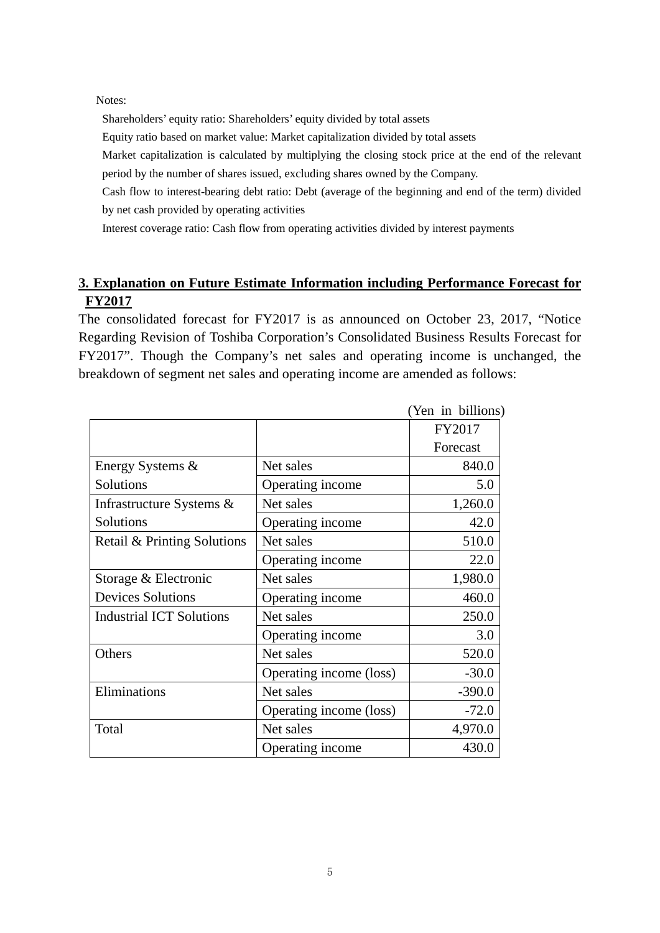Notes:

Shareholders' equity ratio: Shareholders' equity divided by total assets

Equity ratio based on market value: Market capitalization divided by total assets

Market capitalization is calculated by multiplying the closing stock price at the end of the relevant period by the number of shares issued, excluding shares owned by the Company.

Cash flow to interest-bearing debt ratio: Debt (average of the beginning and end of the term) divided by net cash provided by operating activities

Interest coverage ratio: Cash flow from operating activities divided by interest payments

## **3. Explanation on Future Estimate Information including Performance Forecast for FY2017**

The consolidated forecast for FY2017 is as announced on October 23, 2017, "Notice Regarding Revision of Toshiba Corporation's Consolidated Business Results Forecast for FY2017". Though the Company's net sales and operating income is unchanged, the breakdown of segment net sales and operating income are amended as follows:

|                                 |                         | (Yen in billions) |
|---------------------------------|-------------------------|-------------------|
|                                 |                         | FY2017            |
|                                 |                         | Forecast          |
| Energy Systems &                | Net sales               | 840.0             |
| Solutions                       | Operating income        | 5.0               |
| Infrastructure Systems &        | Net sales               | 1,260.0           |
| Solutions                       | Operating income        | 42.0              |
| Retail & Printing Solutions     | Net sales               | 510.0             |
|                                 | Operating income        | 22.0              |
| Storage & Electronic            | Net sales               | 1,980.0           |
| <b>Devices Solutions</b>        | Operating income        | 460.0             |
| <b>Industrial ICT Solutions</b> | Net sales               | 250.0             |
|                                 | Operating income        | 3.0               |
| Others                          | Net sales               | 520.0             |
|                                 | Operating income (loss) | $-30.0$           |
| Eliminations                    | Net sales               | $-390.0$          |
|                                 | Operating income (loss) | $-72.0$           |
| Total                           | Net sales               | 4,970.0           |
|                                 | Operating income        | 430.0             |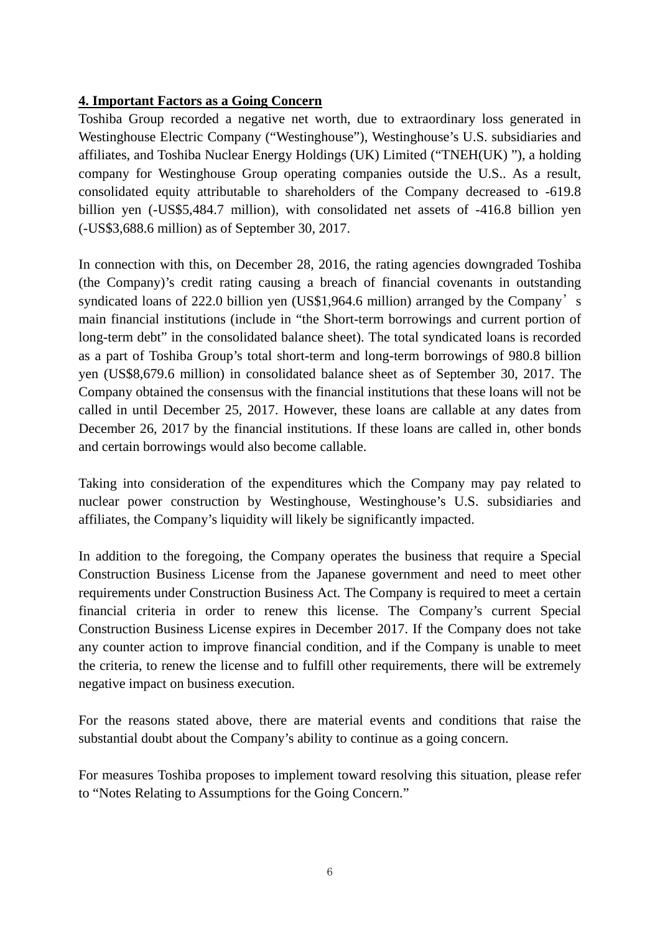## **4. Important Factors as a Going Concern**

Toshiba Group recorded a negative net worth, due to extraordinary loss generated in Westinghouse Electric Company ("Westinghouse"), Westinghouse's U.S. subsidiaries and affiliates, and Toshiba Nuclear Energy Holdings (UK) Limited ("TNEH(UK) "), a holding company for Westinghouse Group operating companies outside the U.S.. As a result, consolidated equity attributable to shareholders of the Company decreased to -619.8 billion yen (-US\$5,484.7 million), with consolidated net assets of -416.8 billion yen (-US\$3,688.6 million) as of September 30, 2017.

In connection with this, on December 28, 2016, the rating agencies downgraded Toshiba (the Company)'s credit rating causing a breach of financial covenants in outstanding syndicated loans of 222.0 billion yen (US\$1,964.6 million) arranged by the Company's main financial institutions (include in "the Short-term borrowings and current portion of long-term debt" in the consolidated balance sheet). The total syndicated loans is recorded as a part of Toshiba Group's total short-term and long-term borrowings of 980.8 billion yen (US\$8,679.6 million) in consolidated balance sheet as of September 30, 2017. The Company obtained the consensus with the financial institutions that these loans will not be called in until December 25, 2017. However, these loans are callable at any dates from December 26, 2017 by the financial institutions. If these loans are called in, other bonds and certain borrowings would also become callable.

Taking into consideration of the expenditures which the Company may pay related to nuclear power construction by Westinghouse, Westinghouse's U.S. subsidiaries and affiliates, the Company's liquidity will likely be significantly impacted.

In addition to the foregoing, the Company operates the business that require a Special Construction Business License from the Japanese government and need to meet other requirements under Construction Business Act. The Company is required to meet a certain financial criteria in order to renew this license. The Company's current Special Construction Business License expires in December 2017. If the Company does not take any counter action to improve financial condition, and if the Company is unable to meet the criteria, to renew the license and to fulfill other requirements, there will be extremely negative impact on business execution.

For the reasons stated above, there are material events and conditions that raise the substantial doubt about the Company's ability to continue as a going concern.

For measures Toshiba proposes to implement toward resolving this situation, please refer to "Notes Relating to Assumptions for the Going Concern."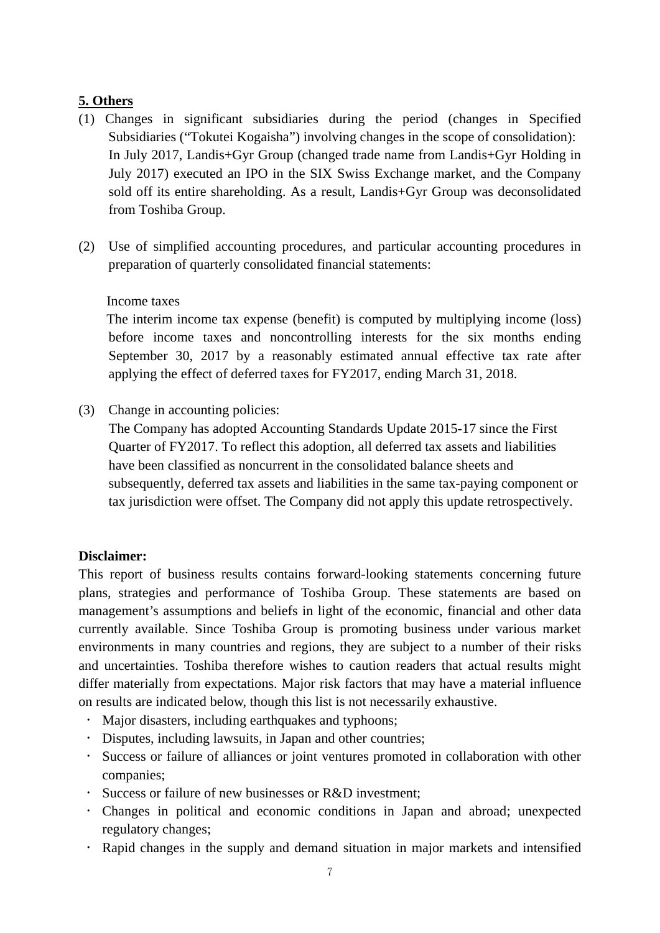# **5. Others**

- (1) Changes in significant subsidiaries during the period (changes in Specified Subsidiaries ("Tokutei Kogaisha") involving changes in the scope of consolidation): In July 2017, Landis+Gyr Group (changed trade name from Landis+Gyr Holding in July 2017) executed an IPO in the SIX Swiss Exchange market, and the Company sold off its entire shareholding. As a result, Landis+Gyr Group was deconsolidated from Toshiba Group.
- (2) Use of simplified accounting procedures, and particular accounting procedures in preparation of quarterly consolidated financial statements:

## Income taxes

The interim income tax expense (benefit) is computed by multiplying income (loss) before income taxes and noncontrolling interests for the six months ending September 30, 2017 by a reasonably estimated annual effective tax rate after applying the effect of deferred taxes for FY2017, ending March 31, 2018.

(3) Change in accounting policies:

The Company has adopted Accounting Standards Update 2015-17 since the First Quarter of FY2017. To reflect this adoption, all deferred tax assets and liabilities have been classified as noncurrent in the consolidated balance sheets and subsequently, deferred tax assets and liabilities in the same tax-paying component or tax jurisdiction were offset. The Company did not apply this update retrospectively.

## **Disclaimer:**

This report of business results contains forward-looking statements concerning future plans, strategies and performance of Toshiba Group. These statements are based on management's assumptions and beliefs in light of the economic, financial and other data currently available. Since Toshiba Group is promoting business under various market environments in many countries and regions, they are subject to a number of their risks and uncertainties. Toshiba therefore wishes to caution readers that actual results might differ materially from expectations. Major risk factors that may have a material influence on results are indicated below, though this list is not necessarily exhaustive.

- Major disasters, including earthquakes and typhoons;
- Disputes, including lawsuits, in Japan and other countries;
- Success or failure of alliances or joint ventures promoted in collaboration with other companies;
- Success or failure of new businesses or R&D investment;
- Changes in political and economic conditions in Japan and abroad; unexpected regulatory changes;
- Rapid changes in the supply and demand situation in major markets and intensified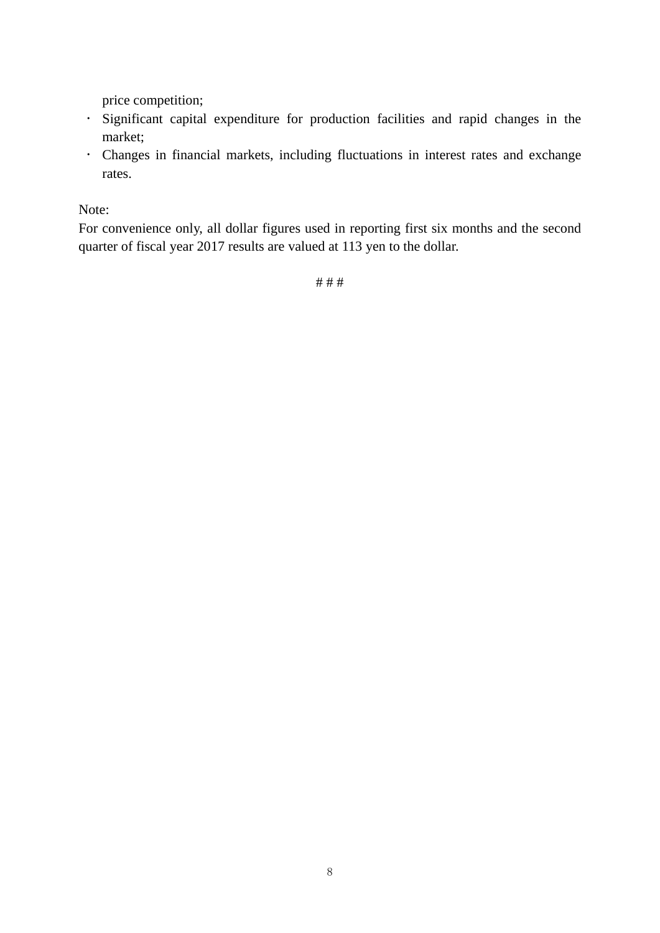price competition;

- Significant capital expenditure for production facilities and rapid changes in the market;
- Changes in financial markets, including fluctuations in interest rates and exchange rates.

Note:

For convenience only, all dollar figures used in reporting first six months and the second quarter of fiscal year 2017 results are valued at 113 yen to the dollar.

# # #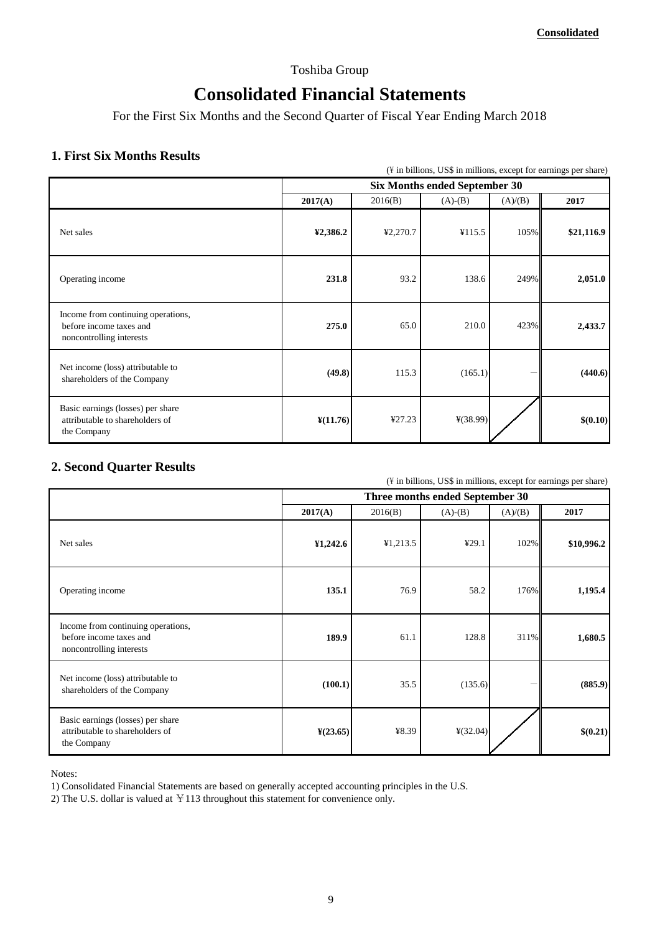## Toshiba Group

# **Consolidated Financial Statements**

For the First Six Months and the Second Quarter of Fiscal Year Ending March 2018

# **1.** First Six Months Results **113 123 123 133 133 133 133 133 133 133 133 133 133 133 133 133 133 133 133 133 133 133 133 133 133 133 133 133 133 133 133 133**

|                                                                                           | (¥ in billions, US\$ in millions, except for earnings per share) |          |            |         |            |  |
|-------------------------------------------------------------------------------------------|------------------------------------------------------------------|----------|------------|---------|------------|--|
|                                                                                           | <b>Six Months ended September 30</b>                             |          |            |         |            |  |
|                                                                                           | 2017(A)                                                          | 2016(B)  | $(A)-(B)$  | (A)/(B) | 2017       |  |
| Net sales                                                                                 | ¥2,386.2                                                         | ¥2,270.7 | ¥115.5     | 105%    | \$21,116.9 |  |
| Operating income                                                                          | 231.8                                                            | 93.2     | 138.6      | 249%    | 2,051.0    |  |
| Income from continuing operations,<br>before income taxes and<br>noncontrolling interests | 275.0                                                            | 65.0     | 210.0      | 423%    | 2,433.7    |  |
| Net income (loss) attributable to<br>shareholders of the Company                          | (49.8)                                                           | 115.3    | (165.1)    |         | (440.6)    |  |
| Basic earnings (losses) per share<br>attributable to shareholders of<br>the Company       | $\frac{\text{V}}{\text{11.76}}$                                  | ¥27.23   | $*(38.99)$ |         | \$(0.10)   |  |

## **2. Second Quarter Results**

 $(\frac{1}{2})$  in billions, US\$ in millions, except for earnings per share)

|                                                                                           |                      |          | Three months ended September 30 |         |            |
|-------------------------------------------------------------------------------------------|----------------------|----------|---------------------------------|---------|------------|
|                                                                                           | 2017(A)              | 2016(B)  | $(A)-(B)$                       | (A)/(B) | 2017       |
| Net sales                                                                                 | ¥1,242.6             | ¥1,213.5 | ¥29.1                           | 102%    | \$10,996.2 |
| Operating income                                                                          | 135.1                | 76.9     | 58.2                            | 176%    | 1,195.4    |
| Income from continuing operations,<br>before income taxes and<br>noncontrolling interests | 189.9                | 61.1     | 128.8                           | 311%    | 1,680.5    |
| Net income (loss) attributable to<br>shareholders of the Company                          | (100.1)              | 35.5     | (135.6)                         |         | (885.9)    |
| Basic earnings (losses) per share<br>attributable to shareholders of<br>the Company       | $\frac{1}{2}(23.65)$ | ¥8.39    | ¥(32.04)                        |         | \$(0.21)   |

Notes:

1) Consolidated Financial Statements are based on generally accepted accounting principles in the U.S.

2) The U.S. dollar is valued at  $\text{\yen}113$  throughout this statement for convenience only.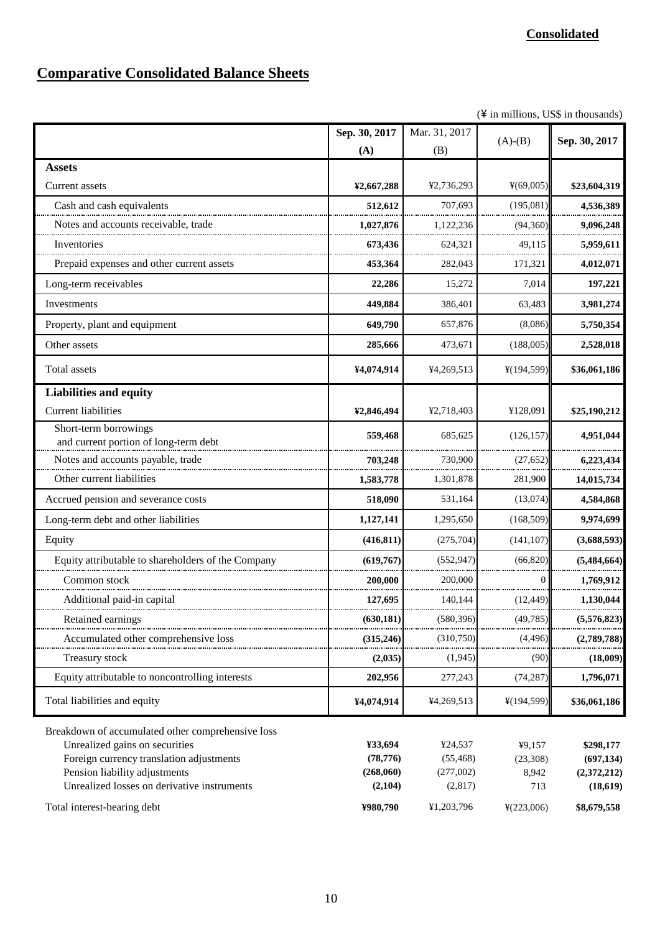# **Comparative Consolidated Balance Sheets**

 $(\frac{4}{3}$  in millions, US\$ in thousands)

|                                                                                                                                                                  | Sep. 30, 2017                     | Mar. 31, 2017                     |                             |                                        |
|------------------------------------------------------------------------------------------------------------------------------------------------------------------|-----------------------------------|-----------------------------------|-----------------------------|----------------------------------------|
|                                                                                                                                                                  | (A)                               | (B)                               | $(A)-(B)$                   | Sep. 30, 2017                          |
| <b>Assets</b>                                                                                                                                                    |                                   |                                   |                             |                                        |
| Current assets                                                                                                                                                   | ¥2,667,288                        | ¥2,736,293                        | ¥(69,005)                   | \$23,604,319                           |
| Cash and cash equivalents                                                                                                                                        | 512,612                           | 707,693                           | (195,081)                   | 4,536,389                              |
| Notes and accounts receivable, trade                                                                                                                             | 1,027,876                         | 1,122,236                         | (94,360)                    | 9,096,248                              |
| Inventories                                                                                                                                                      | 673,436                           | 624,321                           | 49,115                      | 5,959,611                              |
| Prepaid expenses and other current assets                                                                                                                        | 453,364                           | 282,043                           | 171,321                     | 4,012,071                              |
| Long-term receivables                                                                                                                                            | 22,286                            | 15,272                            | 7,014                       | 197,221                                |
| Investments                                                                                                                                                      | 449,884                           | 386,401                           | 63,483                      | 3,981,274                              |
| Property, plant and equipment                                                                                                                                    | 649,790                           | 657,876                           | (8,086)                     | 5,750,354                              |
| Other assets                                                                                                                                                     | 285,666                           | 473,671                           | (188,005)                   | 2,528,018                              |
| Total assets                                                                                                                                                     | ¥4,074,914                        | ¥4,269,513                        | ¥(194,599)                  | \$36,061,186                           |
| <b>Liabilities and equity</b>                                                                                                                                    |                                   |                                   |                             |                                        |
| <b>Current liabilities</b>                                                                                                                                       | ¥2,846,494                        | ¥2,718,403                        | ¥128,091                    | \$25,190,212                           |
| Short-term borrowings<br>and current portion of long-term debt                                                                                                   | 559,468                           | 685,625                           | (126, 157)                  | 4,951,044                              |
| Notes and accounts payable, trade                                                                                                                                | 703,248                           | 730,900                           | (27, 652)                   | 6,223,434                              |
| Other current liabilities                                                                                                                                        | 1,583,778                         | 1,301,878                         | 281,900                     | 14,015,734                             |
| Accrued pension and severance costs                                                                                                                              | 518,090                           | 531,164                           | (13,074)                    | 4,584,868                              |
| Long-term debt and other liabilities                                                                                                                             | 1,127,141                         | 1,295,650                         | (168, 509)                  | 9,974,699                              |
| Equity                                                                                                                                                           | (416, 811)                        | (275,704)                         | (141, 107)                  | (3,688,593)                            |
| Equity attributable to shareholders of the Company                                                                                                               | (619,767)                         | (552, 947)                        | (66.820)                    | (5,484,664)                            |
| Common stock                                                                                                                                                     | 200,000                           | 200,000                           | $\Omega$                    | 1,769,912                              |
| Additional paid-in capital                                                                                                                                       | 127,695                           | 140,144                           | (12, 449)                   | 1,130,044                              |
| Retained earnings                                                                                                                                                | (630, 181)                        | (580, 396)                        | (49, 785)                   | (5,576,823)                            |
| Accumulated other comprehensive loss                                                                                                                             | (315, 246)                        | (310,750)                         | (4,496)                     | (2,789,788)                            |
| <b>Treasury stock</b>                                                                                                                                            | (2,035)                           | (1,945)                           | (90)                        | (18,009)                               |
| Equity attributable to noncontrolling interests                                                                                                                  | 202,956                           | 277,243                           | (74, 287)                   | 1,796,071                              |
| Total liabilities and equity                                                                                                                                     | ¥4,074,914                        | ¥4,269,513                        | ¥(194,599)                  | \$36,061,186                           |
| Breakdown of accumulated other comprehensive loss<br>Unrealized gains on securities<br>Foreign currency translation adjustments<br>Pension liability adjustments | ¥33,694<br>(78, 776)<br>(268,060) | ¥24,537<br>(55, 468)<br>(277,002) | ¥9,157<br>(23,308)<br>8,942 | \$298,177<br>(697, 134)<br>(2,372,212) |
| Unrealized losses on derivative instruments                                                                                                                      | (2,104)                           | (2,817)                           | 713                         | (18, 619)                              |
| Total interest-bearing debt                                                                                                                                      | ¥980,790                          | ¥1,203,796                        | ¥(223,006)                  | \$8,679,558                            |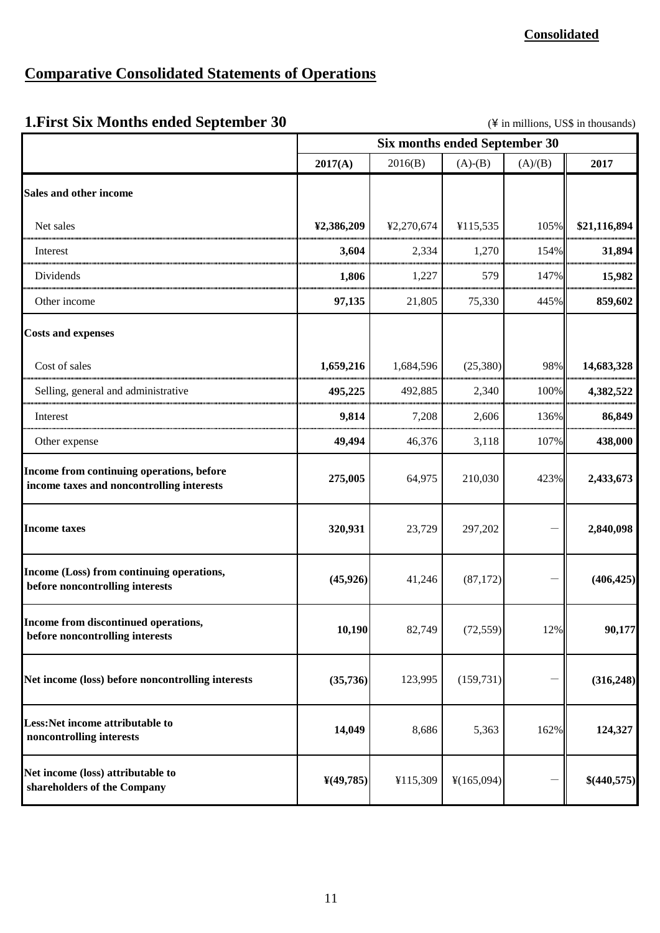## **Comparative Consolidated Statements of Operations**

**Net income (loss) attributable to shareholders of the Company**

# **1. First Six Months ended September 30** (\Natural in millions, US\$ in thousands) **2017(A)** 2016(B) (A)-(B) (A)/(B) **2017** Net sales **105% <b>\$21,116,894 \$2,386,209 \$2,386,209 \$2**,270,674 **\$21,116,894 \$21,116,894** Interest **3,604** 2,334 1,270 154% **31,894**  Dividends **1,806** 1,227 579 147% **15,982**  Other income **97,135** 21,805 75,330 445% **859,602**  Cost of sales **1,659,216** 1,684,596 (25,380) 98% **14,683,328**  Selling, general and administrative **495,225** 492,885 2,340 100% **4,382,522** Interest **9,814** 7,208 2,606 136% **86,849**  Other expense **438,000 49,494 46,376 5,118 40,994 438,000 275,005** 64,975 210,030 423% **2,433,673 320,931** 23,729 297,202 - **2,840,098**  $(45,926)$   $41,246$   $(87,172)$   $(406,425)$ **10,190** 82,749 (72,559) 12% 90,177  $(35,736)$  123,995 (159,731) - **(316,248) 14,049 162% 8,686 162% 8,686 162% 6 162% 124,327 Six months ended September 30 Sales and other income Costs and expenses Income from continuing operations, before income taxes and noncontrolling interests Income taxes Income (Loss) from continuing operations, before noncontrolling interests Income from discontinued operations, before noncontrolling interests Net income (loss) before noncontrolling interests Less:Net income attributable to noncontrolling interests**

 $\mathbf{\Psi}(49,785)$   $\mathbf{\Psi}(115,309)$   $\mathbf{\Psi}(165,094)$   $-$  **\$(440,575)**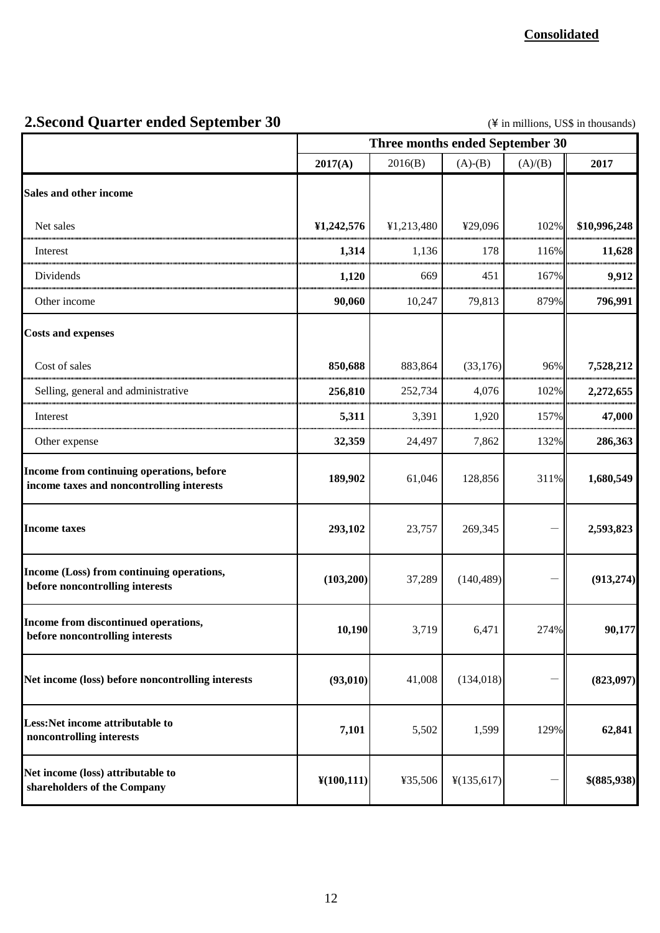# **2.Second Quarter ended September 30** (\Natural in millions, US\$ in thousands)

|                                                                                        | Three months ended September 30 |            |            |         |              |
|----------------------------------------------------------------------------------------|---------------------------------|------------|------------|---------|--------------|
|                                                                                        | 2017(A)                         | 2016(B)    | $(A)-(B)$  | (A)/(B) | 2017         |
| Sales and other income                                                                 |                                 |            |            |         |              |
| Net sales                                                                              | ¥1,242,576                      | ¥1,213,480 | ¥29,096    | 102%    | \$10,996,248 |
| Interest                                                                               | 1,314                           | 1,136      | 178        | 116%    | 11,628       |
| Dividends                                                                              | 1,120                           | 669        | 451        | 167%    | 9,912        |
| Other income                                                                           | 90,060                          | 10,247     | 79,813     | 879%    | 796,991      |
| <b>Costs and expenses</b>                                                              |                                 |            |            |         |              |
| Cost of sales                                                                          | 850,688                         | 883,864    | (33, 176)  | 96%     | 7,528,212    |
| Selling, general and administrative                                                    | 256,810                         | 252,734    | 4,076      | 102%    | 2,272,655    |
| Interest                                                                               | 5,311                           | 3,391      | 1,920      | 157%    | 47,000       |
| Other expense                                                                          | 32,359                          | 24,497     | 7,862      | 132%    | 286,363      |
| Income from continuing operations, before<br>income taxes and noncontrolling interests | 189,902                         | 61,046     | 128,856    | 311%    | 1,680,549    |
| <b>Income taxes</b>                                                                    | 293,102                         | 23,757     | 269,345    |         | 2,593,823    |
| Income (Loss) from continuing operations,<br>before noncontrolling interests           | (103, 200)                      | 37,289     | (140, 489) |         | (913, 274)   |
| Income from discontinued operations,<br>before noncontrolling interests                | 10,190                          | 3,719      | 6,471      | 274%    | 90,177       |
| Net income (loss) before noncontrolling interests                                      | (93, 010)                       | 41,008     | (134, 018) |         | (823,097)    |
| Less:Net income attributable to<br>noncontrolling interests                            | 7,101                           | 5,502      | 1,599      | 129%    | 62,841       |
| Net income (loss) attributable to<br>shareholders of the Company                       | $\frac{1}{2}(100, 111)$         | ¥35,506    | ¥(135,617) |         | \$(885,938)  |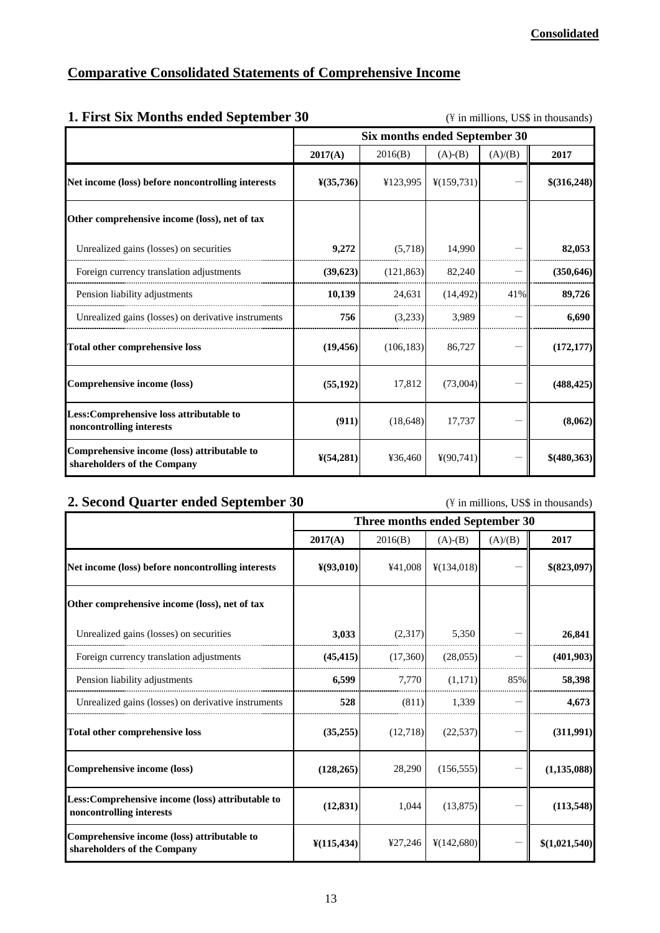|--|

| 1. First Six Months ended September 30                                     | $(\frac{y}{x})$ in millions, US\$ in thousands) |                               |                         |         |              |  |  |  |
|----------------------------------------------------------------------------|-------------------------------------------------|-------------------------------|-------------------------|---------|--------------|--|--|--|
|                                                                            |                                                 | Six months ended September 30 |                         |         |              |  |  |  |
|                                                                            | 2017(A)                                         | 2016(B)                       | $(A)-(B)$               | (A)/(B) | 2017         |  |  |  |
| Net income (loss) before noncontrolling interests                          | $\frac{1}{2}(35,736)$                           | ¥123,995                      | $\frac{1}{2}(159, 731)$ |         | \$(316,248)  |  |  |  |
| Other comprehensive income (loss), net of tax                              |                                                 |                               |                         |         |              |  |  |  |
| Unrealized gains (losses) on securities                                    | 9,272                                           | (5,718)                       | 14,990                  |         | 82,053       |  |  |  |
| Foreign currency translation adjustments                                   | (39,623)                                        | (121, 863)                    | 82,240                  |         | (350, 646)   |  |  |  |
| Pension liability adjustments                                              | 10,139                                          | 24,631                        | (14, 492)               | 41%     | 89,726       |  |  |  |
| Unrealized gains (losses) on derivative instruments                        | 756                                             | (3,233)                       | 3.989                   |         | 6.690        |  |  |  |
| Total other comprehensive loss                                             | (19, 456)                                       | (106, 183)                    | 86,727                  |         | (172, 177)   |  |  |  |
| Comprehensive income (loss)                                                | (55, 192)                                       | 17,812                        | (73,004)                |         | (488, 425)   |  |  |  |
| Less:Comprehensive loss attributable to<br>noncontrolling interests        | (911)                                           | (18, 648)                     | 17,737                  |         | (8,062)      |  |  |  |
| Comprehensive income (loss) attributable to<br>shareholders of the Company | $\frac{1}{2}(54,281)$                           | ¥36,460                       | $\frac{1}{2}(90, 741)$  |         | \$ (480,363) |  |  |  |

# **2. Second Quarter ended September 30** (\in millions, US\$ in thousands)

|                                                                               |                               | Three months ended September 30 |            |         |               |
|-------------------------------------------------------------------------------|-------------------------------|---------------------------------|------------|---------|---------------|
|                                                                               | 2017(A)                       | 2016(B)                         | $(A)-(B)$  | (A)/(B) | 2017          |
| Net income (loss) before noncontrolling interests                             | $\frac{Y(93,010)}{Y(93,010)}$ | ¥41,008                         | ¥(134,018) |         | \$(823,097)   |
| Other comprehensive income (loss), net of tax                                 |                               |                                 |            |         |               |
| Unrealized gains (losses) on securities                                       | 3,033                         | (2,317)                         | 5,350      |         | 26,841        |
| Foreign currency translation adjustments                                      | (45, 415)                     | (17,360)                        | (28,055)   |         | (401,903)     |
| Pension liability adjustments                                                 | 6,599                         | 7,770                           | (1,171)    | 85%     | 58,398        |
| Unrealized gains (losses) on derivative instruments                           | 528                           | (811)                           | 1.339      |         | 4,673         |
| Total other comprehensive loss                                                | (35,255)                      | (12,718)                        | (22, 537)  |         | (311,991)     |
| Comprehensive income (loss)                                                   | (128, 265)                    | 28,290                          | (156, 555) |         | (1, 135, 088) |
| Less: Comprehensive income (loss) attributable to<br>noncontrolling interests | (12, 831)                     | 1,044                           | (13, 875)  |         | (113,548)     |
| Comprehensive income (loss) attributable to<br>shareholders of the Company    | $\frac{1}{2}(115, 434)$       | ¥27,246                         | ¥(142,680) |         | \$(1,021,540) |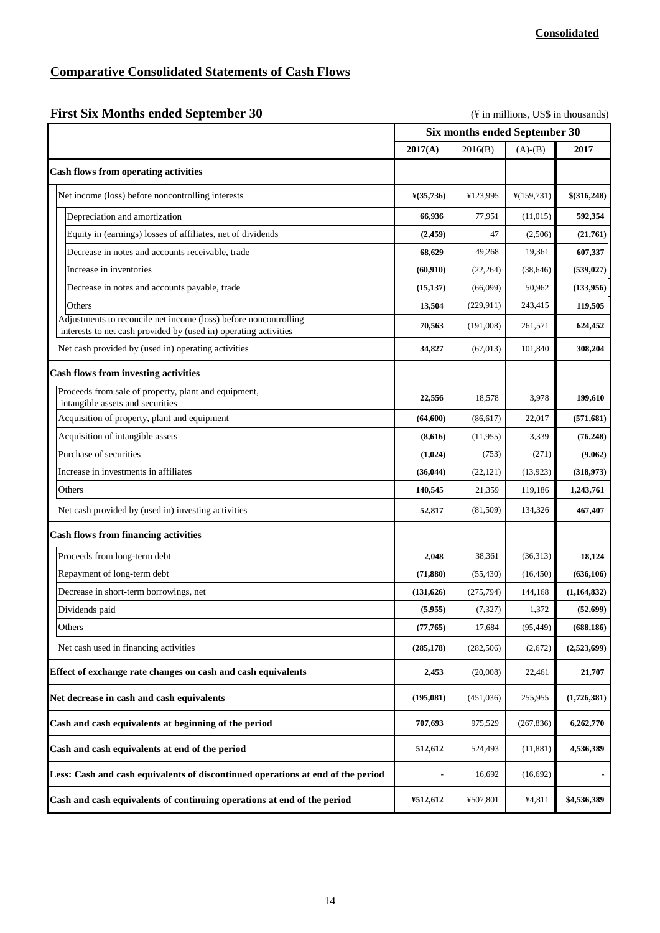# **Comparative Consolidated Statements of Cash Flows**

| <b>First Six Months ended September 30</b> |  |  |  |  |  |  |
|--------------------------------------------|--|--|--|--|--|--|
|--------------------------------------------|--|--|--|--|--|--|

(\\pide in millions, US\$ in thousands)

|                                                                                                                                      |                       | Six months ended September 30 |                         |             |
|--------------------------------------------------------------------------------------------------------------------------------------|-----------------------|-------------------------------|-------------------------|-------------|
|                                                                                                                                      | 2017(A)               | 2016(B)                       | $(A)-(B)$               | 2017        |
| <b>Cash flows from operating activities</b>                                                                                          |                       |                               |                         |             |
| Net income (loss) before noncontrolling interests                                                                                    | $\frac{1}{2}(35,736)$ | ¥123,995                      | $\frac{1}{2}(159, 731)$ | \$(316,248) |
| Depreciation and amortization                                                                                                        | 66,936                | 77,951                        | (11,015)                | 592,354     |
| Equity in (earnings) losses of affiliates, net of dividends                                                                          | (2,459)               | 47                            | (2,506)                 | (21,761)    |
| Decrease in notes and accounts receivable, trade                                                                                     | 68,629                | 49,268                        | 19,361                  | 607,337     |
| Increase in inventories                                                                                                              | (60, 910)             | (22, 264)                     | (38, 646)               | (539, 027)  |
| Decrease in notes and accounts payable, trade                                                                                        | (15, 137)             | (66,099)                      | 50,962                  | (133,956)   |
| Others                                                                                                                               | 13,504                | (229, 911)                    | 243,415                 | 119,505     |
| Adjustments to reconcile net income (loss) before noncontrolling<br>interests to net cash provided by (used in) operating activities | 70,563                | (191,008)                     | 261,571                 | 624,452     |
| Net cash provided by (used in) operating activities                                                                                  | 34,827                | (67, 013)                     | 101,840                 | 308,204     |
| <b>Cash flows from investing activities</b>                                                                                          |                       |                               |                         |             |
| Proceeds from sale of property, plant and equipment,<br>intangible assets and securities                                             | 22,556                | 18,578                        | 3,978                   | 199,610     |
| Acquisition of property, plant and equipment                                                                                         | (64, 600)             | (86, 617)                     | 22,017                  | (571, 681)  |
| Acquisition of intangible assets                                                                                                     | (8,616)               | (11, 955)                     | 3,339                   | (76, 248)   |
| Purchase of securities                                                                                                               | (1,024)               | (753)                         | (271)                   | (9,062)     |
| Increase in investments in affiliates                                                                                                | (36, 044)             | (22, 121)                     | (13,923)                | (318,973)   |
| Others                                                                                                                               | 140,545               | 21,359                        | 119,186                 | 1,243,761   |
| Net cash provided by (used in) investing activities                                                                                  | 52,817                | (81, 509)                     | 134,326                 | 467,407     |
| <b>Cash flows from financing activities</b>                                                                                          |                       |                               |                         |             |
| Proceeds from long-term debt                                                                                                         | 2,048                 | 38.361                        | (36,313)                | 18,124      |
| Repayment of long-term debt                                                                                                          | (71, 880)             | (55, 430)                     | (16, 450)               | (636, 106)  |
| Decrease in short-term borrowings, net                                                                                               | (131, 626)            | (275, 794)                    | 144,168                 | (1,164,832) |
| Dividends paid                                                                                                                       | (5,955)               | (7, 327)                      | 1,372                   | (52, 699)   |
| Others                                                                                                                               | (77, 765)             | 17,684                        | (95, 449)               | (688, 186)  |
| Net cash used in financing activities                                                                                                | (285, 178)            | (282, 506)                    | (2,672)                 | (2,523,699) |
| Effect of exchange rate changes on cash and cash equivalents                                                                         | 2,453                 | (20,008)                      | 22,461                  | 21,707      |
| Net decrease in cash and cash equivalents                                                                                            | (195,081)             | (451,036)                     | 255,955                 | (1,726,381) |
| Cash and cash equivalents at beginning of the period                                                                                 | 707,693               | 975,529                       | (267, 836)              | 6,262,770   |
| Cash and cash equivalents at end of the period                                                                                       | 512,612               | 524,493                       | (11,881)                | 4,536,389   |
| Less: Cash and cash equivalents of discontinued operations at end of the period                                                      |                       | 16,692                        | (16,692)                |             |
| Cash and cash equivalents of continuing operations at end of the period                                                              | ¥512,612              | ¥507,801                      | ¥4,811                  | \$4,536,389 |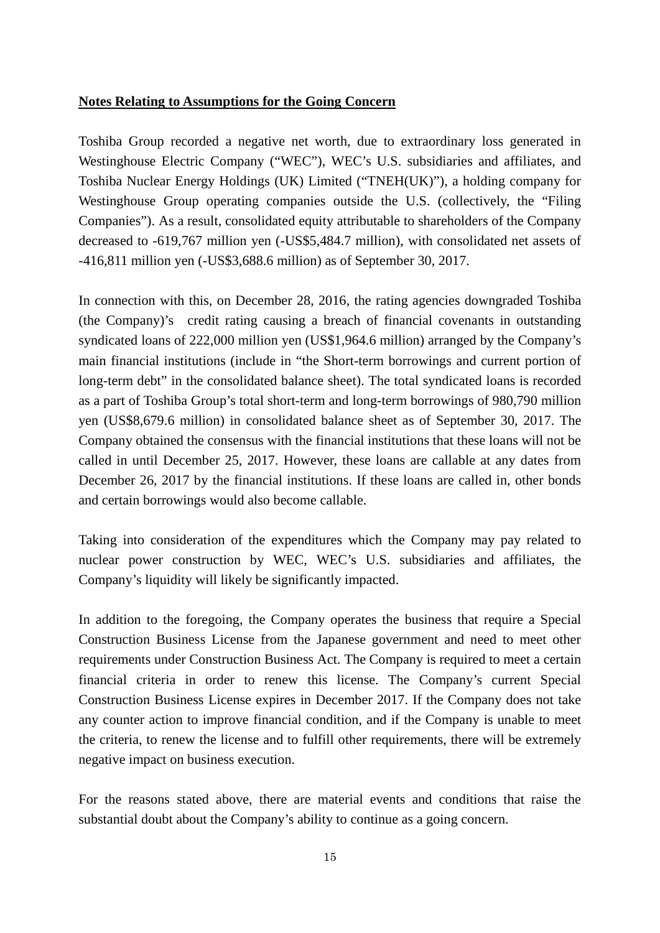#### **Notes Relating to Assumptions for the Going Concern**

Toshiba Group recorded a negative net worth, due to extraordinary loss generated in Westinghouse Electric Company ("WEC"), WEC's U.S. subsidiaries and affiliates, and Toshiba Nuclear Energy Holdings (UK) Limited ("TNEH(UK)"), a holding company for Westinghouse Group operating companies outside the U.S. (collectively, the "Filing" Companies"). As a result, consolidated equity attributable to shareholders of the Company decreased to -619,767 million yen (-US\$5,484.7 million), with consolidated net assets of -416,811 million yen (-US\$3,688.6 million) as of September 30, 2017.

In connection with this, on December 28, 2016, the rating agencies downgraded Toshiba (the Company)'s credit rating causing a breach of financial covenants in outstanding syndicated loans of 222,000 million yen (US\$1,964.6 million) arranged by the Company's main financial institutions (include in "the Short-term borrowings and current portion of long-term debt" in the consolidated balance sheet). The total syndicated loans is recorded as a part of Toshiba Group's total short-term and long-term borrowings of 980,790 million yen (US\$8,679.6 million) in consolidated balance sheet as of September 30, 2017. The Company obtained the consensus with the financial institutions that these loans will not be called in until December 25, 2017. However, these loans are callable at any dates from December 26, 2017 by the financial institutions. If these loans are called in, other bonds and certain borrowings would also become callable.

Taking into consideration of the expenditures which the Company may pay related to nuclear power construction by WEC, WEC's U.S. subsidiaries and affiliates, the Company's liquidity will likely be significantly impacted.

In addition to the foregoing, the Company operates the business that require a Special Construction Business License from the Japanese government and need to meet other requirements under Construction Business Act. The Company is required to meet a certain financial criteria in order to renew this license. The Company's current Special Construction Business License expires in December 2017. If the Company does not take any counter action to improve financial condition, and if the Company is unable to meet the criteria, to renew the license and to fulfill other requirements, there will be extremely negative impact on business execution.

For the reasons stated above, there are material events and conditions that raise the substantial doubt about the Company's ability to continue as a going concern.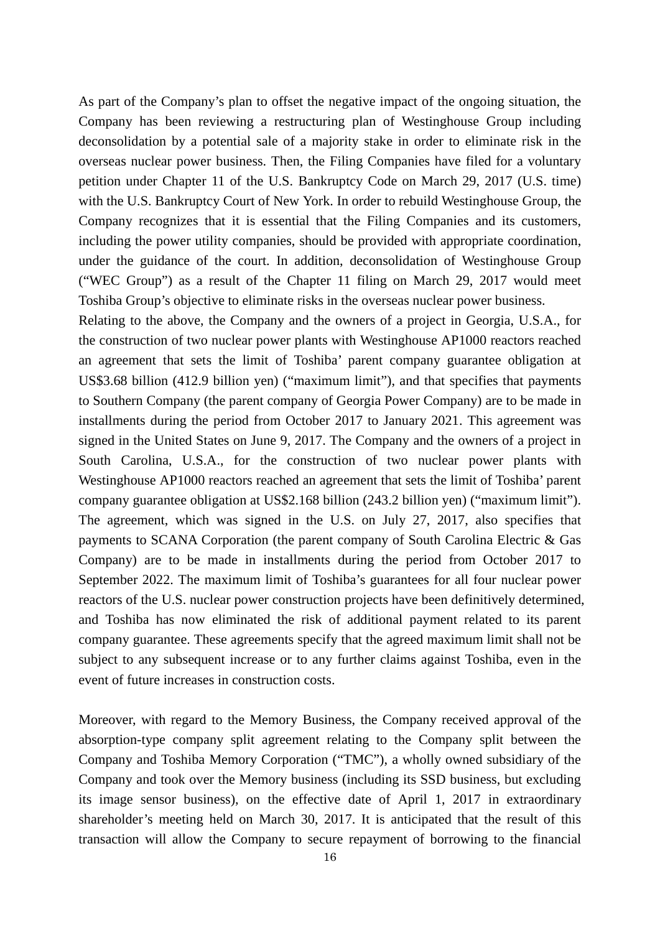As part of the Company's plan to offset the negative impact of the ongoing situation, the Company has been reviewing a restructuring plan of Westinghouse Group including deconsolidation by a potential sale of a majority stake in order to eliminate risk in the overseas nuclear power business. Then, the Filing Companies have filed for a voluntary petition under Chapter 11 of the U.S. Bankruptcy Code on March 29, 2017 (U.S. time) with the U.S. Bankruptcy Court of New York. In order to rebuild Westinghouse Group, the Company recognizes that it is essential that the Filing Companies and its customers, including the power utility companies, should be provided with appropriate coordination, under the guidance of the court. In addition, deconsolidation of Westinghouse Group ("WEC Group") as a result of the Chapter 11 filing on March 29, 2017 would meet Toshiba Group's objective to eliminate risks in the overseas nuclear power business.

Relating to the above, the Company and the owners of a project in Georgia, U.S.A., for the construction of two nuclear power plants with Westinghouse AP1000 reactors reached an agreement that sets the limit of Toshiba' parent company guarantee obligation at US\$3.68 billion (412.9 billion yen) ("maximum limit"), and that specifies that payments to Southern Company (the parent company of Georgia Power Company) are to be made in installments during the period from October 2017 to January 2021. This agreement was signed in the United States on June 9, 2017. The Company and the owners of a project in South Carolina, U.S.A., for the construction of two nuclear power plants with Westinghouse AP1000 reactors reached an agreement that sets the limit of Toshiba' parent company guarantee obligation at US\$2.168 billion (243.2 billion yen) ("maximum limit"). The agreement, which was signed in the U.S. on July 27, 2017, also specifies that payments to SCANA Corporation (the parent company of South Carolina Electric & Gas Company) are to be made in installments during the period from October 2017 to September 2022. The maximum limit of Toshiba's guarantees for all four nuclear power reactors of the U.S. nuclear power construction projects have been definitively determined, and Toshiba has now eliminated the risk of additional payment related to its parent company guarantee. These agreements specify that the agreed maximum limit shall not be subject to any subsequent increase or to any further claims against Toshiba, even in the event of future increases in construction costs.

Moreover, with regard to the Memory Business, the Company received approval of the absorption-type company split agreement relating to the Company split between the Company and Toshiba Memory Corporation ("TMC"), a wholly owned subsidiary of the Company and took over the Memory business (including its SSD business, but excluding its image sensor business), on the effective date of April 1, 2017 in extraordinary shareholder's meeting held on March 30, 2017. It is anticipated that the result of this transaction will allow the Company to secure repayment of borrowing to the financial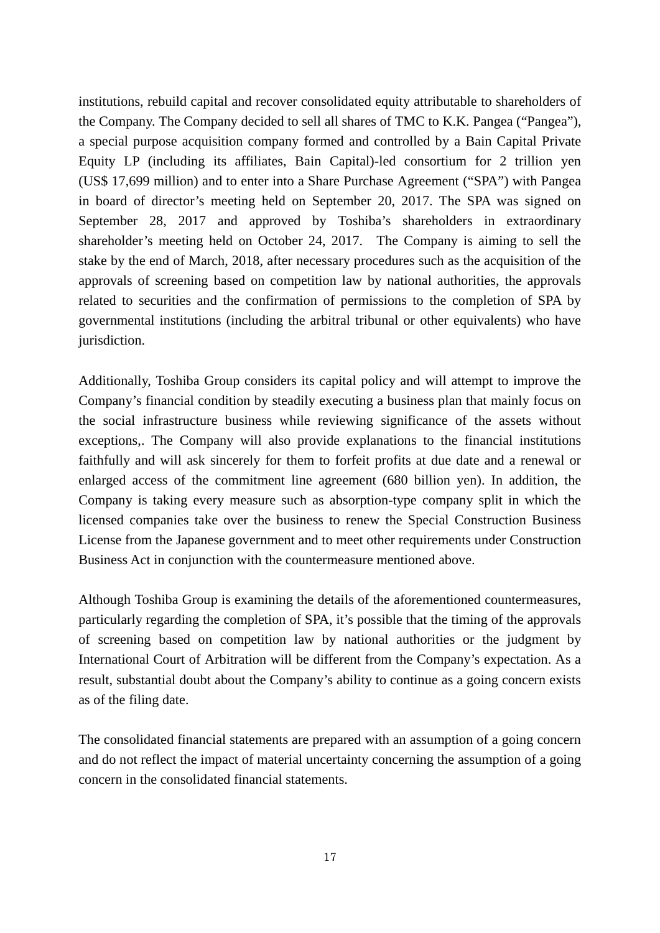institutions, rebuild capital and recover consolidated equity attributable to shareholders of the Company. The Company decided to sell all shares of TMC to K.K. Pangea ("Pangea"), a special purpose acquisition company formed and controlled by a Bain Capital Private Equity LP (including its affiliates, Bain Capital)-led consortium for 2 trillion yen (US\$ 17,699 million) and to enter into a Share Purchase Agreement ("SPA") with Pangea in board of director's meeting held on September 20, 2017. The SPA was signed on September 28, 2017 and approved by Toshiba's shareholders in extraordinary shareholder's meeting held on October 24, 2017. The Company is aiming to sell the stake by the end of March, 2018, after necessary procedures such as the acquisition of the approvals of screening based on competition law by national authorities, the approvals related to securities and the confirmation of permissions to the completion of SPA by governmental institutions (including the arbitral tribunal or other equivalents) who have jurisdiction.

Additionally, Toshiba Group considers its capital policy and will attempt to improve the Company's financial condition by steadily executing a business plan that mainly focus on the social infrastructure business while reviewing significance of the assets without exceptions,. The Company will also provide explanations to the financial institutions faithfully and will ask sincerely for them to forfeit profits at due date and a renewal or enlarged access of the commitment line agreement (680 billion yen). In addition, the Company is taking every measure such as absorption-type company split in which the licensed companies take over the business to renew the Special Construction Business License from the Japanese government and to meet other requirements under Construction Business Act in conjunction with the countermeasure mentioned above.

Although Toshiba Group is examining the details of the aforementioned countermeasures, particularly regarding the completion of SPA, it's possible that the timing of the approvals of screening based on competition law by national authorities or the judgment by International Court of Arbitration will be different from the Company's expectation. As a result, substantial doubt about the Company's ability to continue as a going concern exists as of the filing date.

The consolidated financial statements are prepared with an assumption of a going concern and do not reflect the impact of material uncertainty concerning the assumption of a going concern in the consolidated financial statements.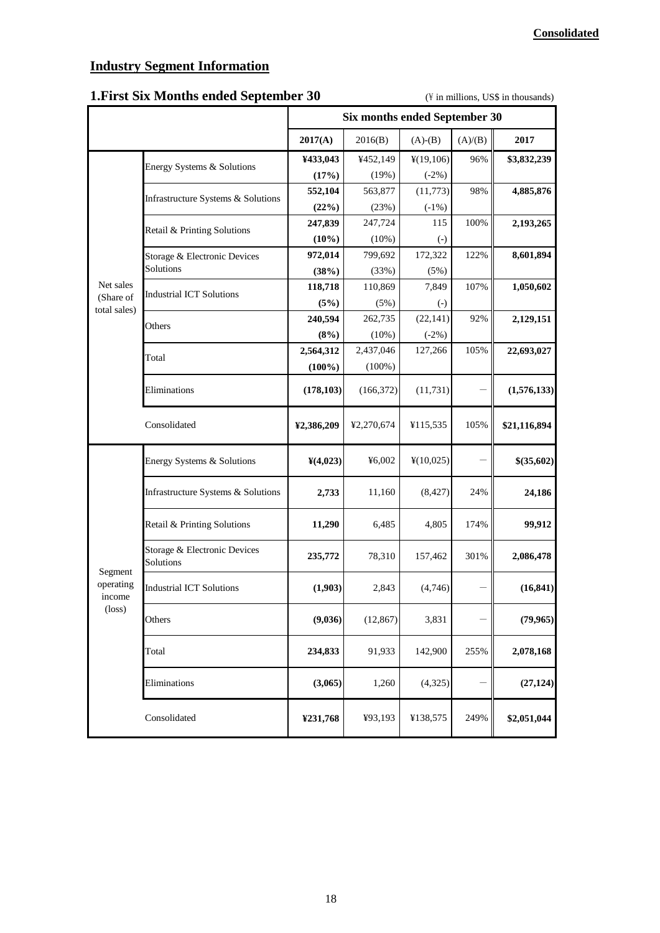# **Industry Segment Information**

# **1. First Six Months ended September 30** (\ftdot in millions, US\$ in thousands)

|                                                   |                                           | Six months ended September 30 |            |                   |         |              |
|---------------------------------------------------|-------------------------------------------|-------------------------------|------------|-------------------|---------|--------------|
|                                                   |                                           | 2017(A)                       | 2016(B)    | $(A)-(B)$         | (A)/(B) | 2017         |
|                                                   | Energy Systems & Solutions                | ¥433,043                      | ¥452,149   | ¥(19,106)         | 96%     | \$3,832,239  |
|                                                   |                                           | (17%)                         | (19%)      | $(-2%)$           |         |              |
|                                                   | Infrastructure Systems & Solutions        | 552,104                       | 563,877    | (11, 773)         | 98%     | 4,885,876    |
|                                                   |                                           | (22%)                         | (23%)      | $(-1%)$           |         |              |
|                                                   | Retail & Printing Solutions               | 247,839                       | 247,724    | 115               | 100%    | 2,193,265    |
|                                                   |                                           | $(10\%)$                      | (10%)      | $\left( -\right)$ |         |              |
|                                                   | Storage & Electronic Devices              | 972,014                       | 799,692    | 172,322           | 122%    | 8,601,894    |
|                                                   | Solutions                                 | (38%)                         | (33%)      | (5%)              |         |              |
| Net sales<br>(Share of                            | <b>Industrial ICT Solutions</b>           | 118,718                       | 110,869    | 7,849             | 107%    | 1,050,602    |
| total sales)                                      |                                           | (5%)                          | (5%)       | $\left( -\right)$ |         |              |
|                                                   | Others                                    | 240,594                       | 262,735    | (22, 141)         | 92%     | 2,129,151    |
|                                                   |                                           | (8%)                          | (10%)      | $(-2%)$           |         |              |
|                                                   | Total                                     | 2,564,312                     | 2,437,046  | 127,266           | 105%    | 22,693,027   |
|                                                   |                                           | $(100\%)$                     | $(100\%)$  |                   |         |              |
|                                                   | Eliminations                              | (178, 103)                    | (166, 372) | (11, 731)         |         | (1,576,133)  |
|                                                   | Consolidated                              | ¥2,386,209                    | ¥2,270,674 | ¥115,535          | 105%    | \$21,116,894 |
|                                                   | Energy Systems & Solutions                | Y(4,023)                      | ¥6,002     | ¥(10,025)         |         | \$(35,602)   |
|                                                   | Infrastructure Systems & Solutions        | 2,733                         | 11,160     | (8, 427)          | 24%     | 24,186       |
|                                                   | Retail & Printing Solutions               | 11,290                        | 6,485      | 4,805             | 174%    | 99,912       |
| Segment<br>operating<br>income<br>$(\text{loss})$ | Storage & Electronic Devices<br>Solutions | 235,772                       | 78,310     | 157,462           | 301%    | 2,086,478    |
|                                                   | <b>Industrial ICT Solutions</b>           | (1,903)                       | 2,843      | (4,746)           |         | (16, 841)    |
|                                                   | Others                                    | (9,036)                       | (12, 867)  | 3,831             |         | (79, 965)    |
|                                                   | Total                                     | 234,833                       | 91,933     | 142,900           | 255%    | 2,078,168    |
|                                                   | Eliminations                              | (3,065)                       | 1,260      | (4,325)           |         | (27, 124)    |
|                                                   | Consolidated                              | ¥231,768                      | ¥93,193    | ¥138,575          | 249%    | \$2,051,044  |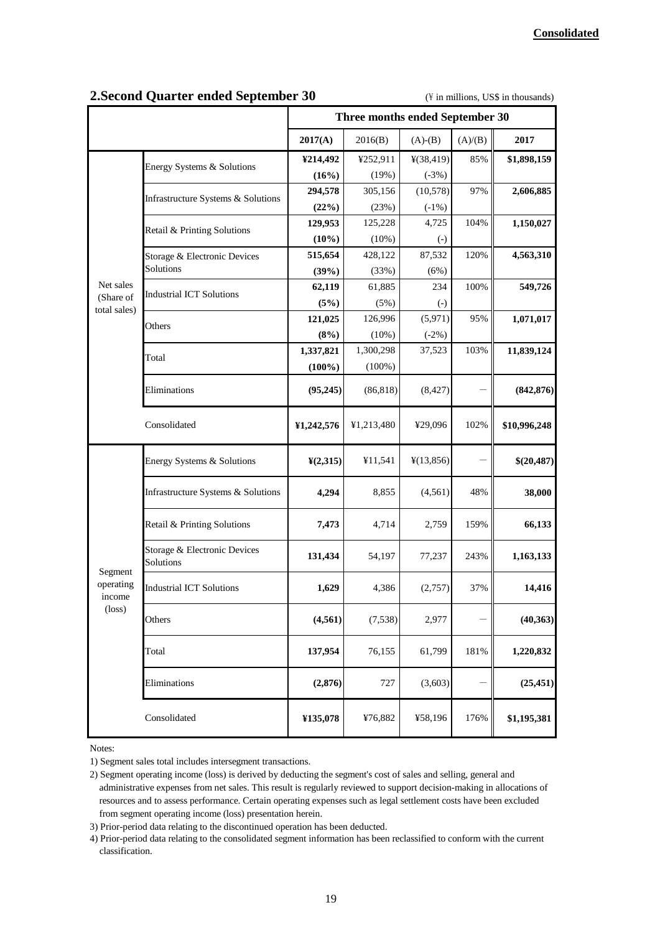|                                                   |                                           | Three months ended September 30 |            |                        |         |              |
|---------------------------------------------------|-------------------------------------------|---------------------------------|------------|------------------------|---------|--------------|
|                                                   |                                           | 2017(A)                         | 2016(B)    | $(A)-(B)$              | (A)/(B) | 2017         |
|                                                   | Energy Systems & Solutions                | ¥214,492                        | ¥252,911   | ¥(38,419)              | 85%     | \$1,898,159  |
|                                                   |                                           | (16%)                           | (19%)      | $(-3%)$                |         |              |
|                                                   | Infrastructure Systems & Solutions        | 294,578                         | 305,156    | (10, 578)              | 97%     | 2,606,885    |
|                                                   |                                           | (22%)                           | (23%)      | $(-1%)$                |         |              |
|                                                   | Retail & Printing Solutions               | 129,953                         | 125,228    | 4,725                  | 104%    | 1,150,027    |
|                                                   |                                           | (10%)                           | (10%)      | $\left( -\right)$      |         |              |
|                                                   | Storage & Electronic Devices              | 515,654                         | 428,122    | 87,532                 | 120%    | 4,563,310    |
|                                                   | Solutions                                 | (39%)                           | (33%)      | (6%)                   |         |              |
| Net sales                                         | <b>Industrial ICT Solutions</b>           | 62,119                          | 61,885     | 234                    | 100%    | 549,726      |
| (Share of<br>total sales)                         |                                           | (5%)                            | (5%)       | $\left( \cdot \right)$ |         |              |
|                                                   | Others                                    | 121,025                         | 126,996    | (5,971)                | 95%     | 1,071,017    |
|                                                   |                                           | (8%)                            | (10%)      | $(-2%)$                |         |              |
|                                                   | Total                                     | 1,337,821                       | 1,300,298  | 37,523                 | 103%    | 11,839,124   |
|                                                   |                                           | $(100\%)$                       | $(100\%)$  |                        |         |              |
|                                                   | Eliminations                              | (95, 245)                       | (86, 818)  | (8, 427)               |         | (842, 876)   |
|                                                   | Consolidated                              | ¥1,242,576                      | ¥1,213,480 | ¥29,096                | 102%    | \$10,996,248 |
|                                                   | Energy Systems & Solutions                | Y(2,315)                        | ¥11,541    | ¥(13,856)              |         | \$(20,487)   |
|                                                   | Infrastructure Systems & Solutions        | 4,294                           | 8,855      | (4,561)                | 48%     | 38,000       |
|                                                   | Retail & Printing Solutions               | 7,473                           | 4,714      | 2,759                  | 159%    | 66,133       |
|                                                   | Storage & Electronic Devices<br>Solutions | 131,434                         | 54,197     | 77,237                 | 243%    | 1,163,133    |
| Segment<br>operating<br>income<br>$(\text{loss})$ | <b>Industrial ICT Solutions</b>           | 1,629                           | 4,386      | (2,757)                | 37%     | 14,416       |
|                                                   | Others                                    | (4, 561)                        | (7,538)    | 2,977                  |         | (40, 363)    |
|                                                   | Total                                     | 137,954                         | 76,155     | 61,799                 | 181%    | 1,220,832    |
|                                                   | Eliminations                              | (2,876)                         | 727        | (3,603)                |         | (25, 451)    |
|                                                   | Consolidated                              | ¥135,078                        | ¥76,882    | ¥58,196                | 176%    | \$1,195,381  |

## **2. Second Quarter ended September 30** (\ftdot in millions, US\$ in thousands)

Notes:

<sup>1)</sup> Segment sales total includes intersegment transactions.

<sup>2)</sup> Segment operating income (loss) is derived by deducting the segment's cost of sales and selling, general and administrative expenses from net sales. This result is regularly reviewed to support decision-making in allocations of resources and to assess performance. Certain operating expenses such as legal settlement costs have been excluded from segment operating income (loss) presentation herein.

<sup>3)</sup> Prior-period data relating to the discontinued operation has been deducted.

<sup>4)</sup> Prior-period data relating to the consolidated segment information has been reclassified to conform with the current classification.